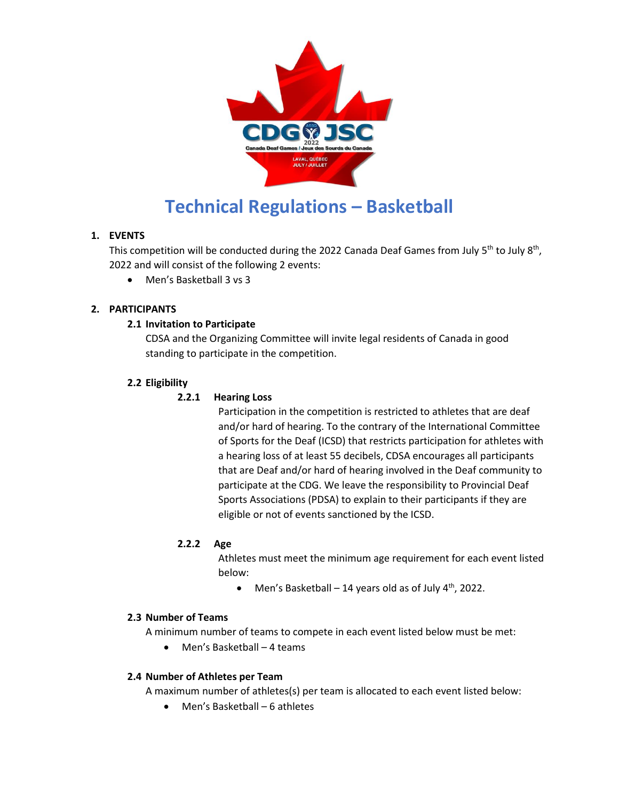

# **Technical Regulations – Basketball**

# **1. EVENTS**

This competition will be conducted during the 2022 Canada Deaf Games from July 5<sup>th</sup> to July 8<sup>th</sup>, 2022 and will consist of the following 2 events:

Men's Basketball 3 vs 3

# **2. PARTICIPANTS**

# **2.1 Invitation to Participate**

CDSA and the Organizing Committee will invite legal residents of Canada in good standing to participate in the competition.

# **2.2 Eligibility**

# **2.2.1 Hearing Loss**

Participation in the competition is restricted to athletes that are deaf and/or hard of hearing. To the contrary of the International Committee of Sports for the Deaf (ICSD) that restricts participation for athletes with a hearing loss of at least 55 decibels, CDSA encourages all participants that are Deaf and/or hard of hearing involved in the Deaf community to participate at the CDG. We leave the responsibility to Provincial Deaf Sports Associations (PDSA) to explain to their participants if they are eligible or not of events sanctioned by the ICSD.

# **2.2.2 Age**

Athletes must meet the minimum age requirement for each event listed below:

• Men's Basketball – 14 years old as of July  $4<sup>th</sup>$ , 2022.

# **2.3 Number of Teams**

A minimum number of teams to compete in each event listed below must be met:

Men's Basketball – 4 teams

# **2.4 Number of Athletes per Team**

A maximum number of athletes(s) per team is allocated to each event listed below:

Men's Basketball – 6 athletes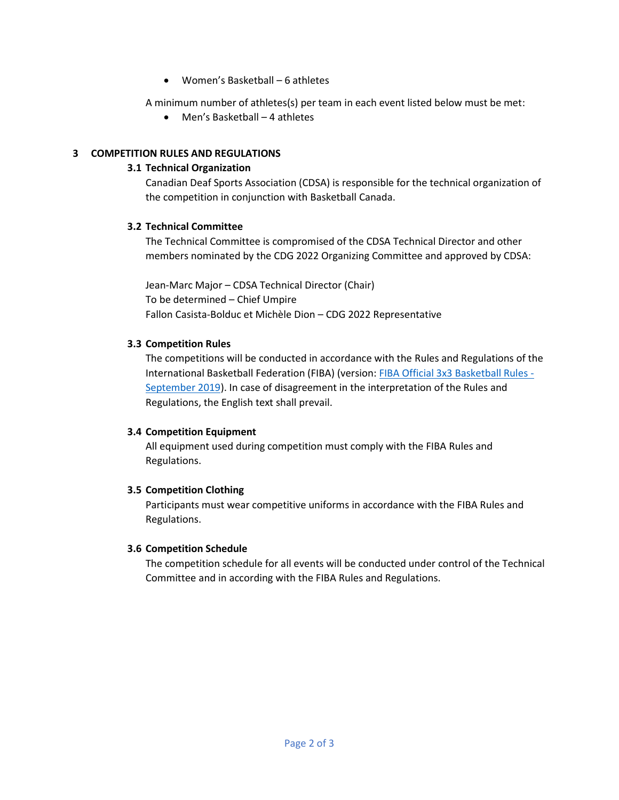Women's Basketball – 6 athletes

A minimum number of athletes(s) per team in each event listed below must be met:

Men's Basketball – 4 athletes

# **3 COMPETITION RULES AND REGULATIONS**

## **3.1 Technical Organization**

Canadian Deaf Sports Association (CDSA) is responsible for the technical organization of the competition in conjunction with Basketball Canada.

## **3.2 Technical Committee**

The Technical Committee is compromised of the CDSA Technical Director and other members nominated by the CDG 2022 Organizing Committee and approved by CDSA:

Jean-Marc Major – CDSA Technical Director (Chair) To be determined – Chief Umpire Fallon Casista-Bolduc et Michèle Dion – CDG 2022 Representative

## **3.3 Competition Rules**

The competitions will be conducted in accordance with the Rules and Regulations of the International Basketball Federation (FIBA) (version: [FIBA Official 3x3 Basketball Rules -](https://fiba3x3.com/docs/fiba-3x3-basketball-rules-full-version.pdf) [September 2019\)](https://fiba3x3.com/docs/fiba-3x3-basketball-rules-full-version.pdf). In case of disagreement in the interpretation of the Rules and Regulations, the English text shall prevail.

# **3.4 Competition Equipment**

All equipment used during competition must comply with the FIBA Rules and Regulations.

#### **3.5 Competition Clothing**

Participants must wear competitive uniforms in accordance with the FIBA Rules and Regulations.

#### **3.6 Competition Schedule**

The competition schedule for all events will be conducted under control of the Technical Committee and in according with the FIBA Rules and Regulations.